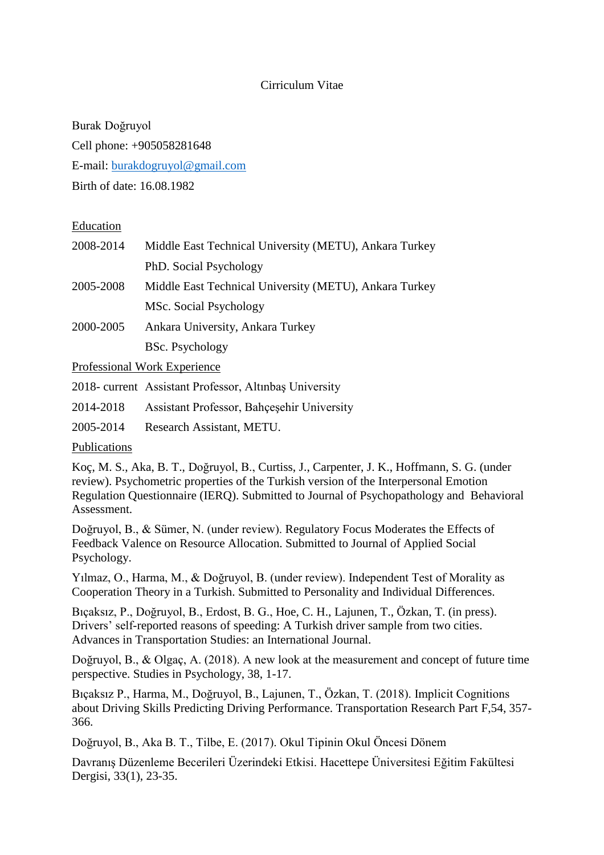### Cirriculum Vitae

Burak Doğruyol Cell phone: +905058281648 E-mail: [burakdogruyol@gmail.com](mailto:burakdogruyol@gmail.com) Birth of date: 16.08.1982

#### Education

| 2008-2014 | Middle East Technical University (METU), Ankara Turkey |
|-----------|--------------------------------------------------------|
|           | PhD. Social Psychology                                 |
| 2005-2008 | Middle East Technical University (METU), Ankara Turkey |
|           | MSc. Social Psychology                                 |
| 2000-2005 | Ankara University, Ankara Turkey                       |
|           | <b>BSc.</b> Psychology                                 |
|           |                                                        |

Professional Work Experience

2018- current Assistant Professor, Altınbaş University

2014-2018 Assistant Professor, Bahçeşehir University

2005-2014 Research Assistant, METU.

Publications

Koç, M. S., Aka, B. T., Doğruyol, B., Curtiss, J., Carpenter, J. K., Hoffmann, S. G. (under review). Psychometric properties of the Turkish version of the Interpersonal Emotion Regulation Questionnaire (IERQ). Submitted to Journal of Psychopathology and Behavioral Assessment.

Doğruyol, B., & Sümer, N. (under review). Regulatory Focus Moderates the Effects of Feedback Valence on Resource Allocation. Submitted to Journal of Applied Social Psychology.

Yılmaz, O., Harma, M., & Doğruyol, B. (under review). Independent Test of Morality as Cooperation Theory in a Turkish. Submitted to Personality and Individual Differences.

Bıçaksız, P., Doğruyol, B., Erdost, B. G., Hoe, C. H., Lajunen, T., Özkan, T. (in press). Drivers' self-reported reasons of speeding: A Turkish driver sample from two cities. Advances in Transportation Studies: an International Journal.

Doğruyol, B., & Olgaç, A. (2018). A new look at the measurement and concept of future time perspective. Studies in Psychology, 38, 1-17.

Bıçaksız P., Harma, M., Doğruyol, B., Lajunen, T., Özkan, T. (2018). Implicit Cognitions about Driving Skills Predicting Driving Performance. Transportation Research Part F,54, 357- 366.

Doğruyol, B., Aka B. T., Tilbe, E. (2017). Okul Tipinin Okul Öncesi Dönem

Davranış Düzenleme Becerileri Üzerindeki Etkisi. Hacettepe Üniversitesi Eğitim Fakültesi Dergisi, 33(1), 23-35.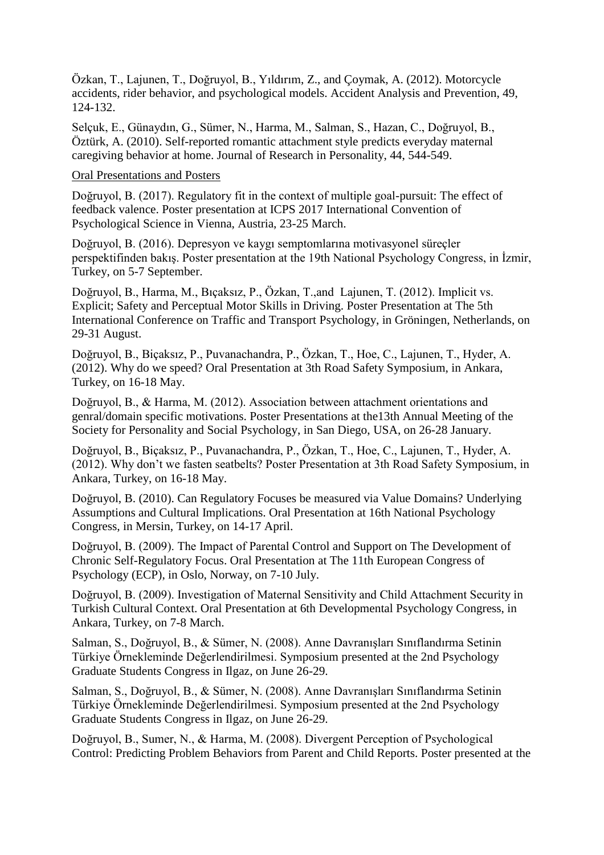Özkan, T., Lajunen, T., Doğruyol, B., Yıldırım, Z., and Çoymak, A. (2012). Motorcycle accidents, rider behavior, and psychological models. Accident Analysis and Prevention, 49, 124-132.

Selçuk, E., Günaydın, G., Sümer, N., Harma, M., Salman, S., Hazan, C., Doğruyol, B., Öztürk, A. (2010). Self-reported romantic attachment style predicts everyday maternal caregiving behavior at home. Journal of Research in Personality, 44, 544-549.

#### Oral Presentations and Posters

Doğruyol, B. (2017). Regulatory fit in the context of multiple goal-pursuit: The effect of feedback valence. Poster presentation at ICPS 2017 International Convention of Psychological Science in Vienna, Austria, 23-25 March.

Doğruyol, B. (2016). Depresyon ve kaygı semptomlarına motivasyonel süreçler perspektifinden bakış. Poster presentation at the 19th National Psychology Congress, in İzmir, Turkey, on 5-7 September.

Doğruyol, B., Harma, M., Bıçaksız, P., Özkan, T.,and Lajunen, T. (2012). Implicit vs. Explicit; Safety and Perceptual Motor Skills in Driving. Poster Presentation at The 5th International Conference on Traffic and Transport Psychology, in Gröningen, Netherlands, on 29-31 August.

Doğruyol, B., Biçaksız, P., Puvanachandra, P., Özkan, T., Hoe, C., Lajunen, T., Hyder, A. (2012). Why do we speed? Oral Presentation at 3th Road Safety Symposium, in Ankara, Turkey, on 16-18 May.

Doğruyol, B., & Harma, M. (2012). Association between attachment orientations and genral/domain specific motivations. Poster Presentations at the13th Annual Meeting of the Society for Personality and Social Psychology, in San Diego, USA, on 26-28 January.

Doğruyol, B., Biçaksız, P., Puvanachandra, P., Özkan, T., Hoe, C., Lajunen, T., Hyder, A. (2012). Why don't we fasten seatbelts? Poster Presentation at 3th Road Safety Symposium, in Ankara, Turkey, on 16-18 May.

Doğruyol, B. (2010). Can Regulatory Focuses be measured via Value Domains? Underlying Assumptions and Cultural Implications. Oral Presentation at 16th National Psychology Congress, in Mersin, Turkey, on 14-17 April.

Doğruyol, B. (2009). The Impact of Parental Control and Support on The Development of Chronic Self-Regulatory Focus. Oral Presentation at The 11th European Congress of Psychology (ECP), in Oslo, Norway, on 7-10 July.

Doğruyol, B. (2009). Investigation of Maternal Sensitivity and Child Attachment Security in Turkish Cultural Context. Oral Presentation at 6th Developmental Psychology Congress, in Ankara, Turkey, on 7-8 March.

Salman, S., Doğruyol, B., & Sümer, N. (2008). Anne Davranışları Sınıflandırma Setinin Türkiye Örnekleminde Değerlendirilmesi. Symposium presented at the 2nd Psychology Graduate Students Congress in Ilgaz, on June 26-29.

Salman, S., Doğruyol, B., & Sümer, N. (2008). Anne Davranışları Sınıflandırma Setinin Türkiye Örnekleminde Değerlendirilmesi. Symposium presented at the 2nd Psychology Graduate Students Congress in Ilgaz, on June 26-29.

Doğruyol, B., Sumer, N., & Harma, M. (2008). Divergent Perception of Psychological Control: Predicting Problem Behaviors from Parent and Child Reports. Poster presented at the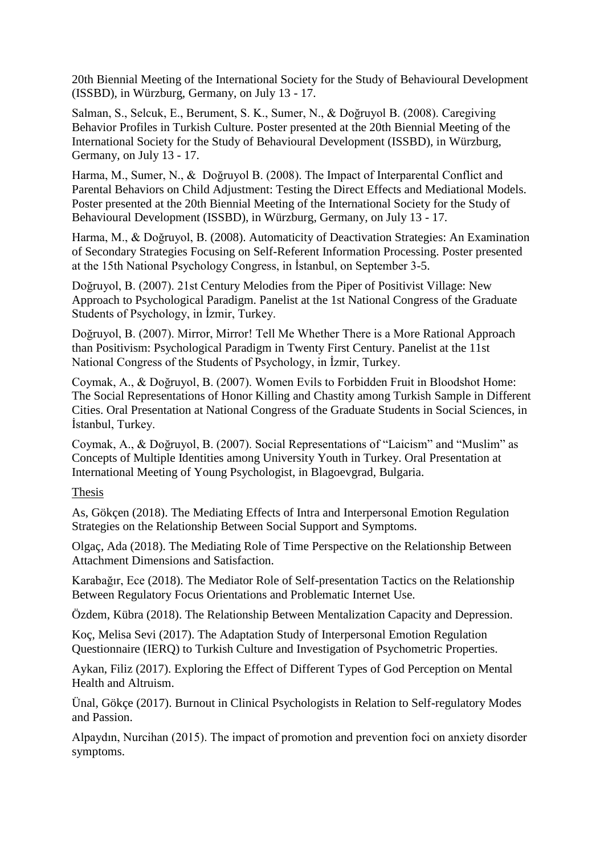20th Biennial Meeting of the International Society for the Study of Behavioural Development (ISSBD), in Würzburg, Germany, on July 13 - 17.

Salman, S., Selcuk, E., Berument, S. K., Sumer, N., & Doğruyol B. (2008). Caregiving Behavior Profiles in Turkish Culture. Poster presented at the 20th Biennial Meeting of the International Society for the Study of Behavioural Development (ISSBD), in Würzburg, Germany, on July 13 - 17.

Harma, M., Sumer, N., & Doğruyol B. (2008). The Impact of Interparental Conflict and Parental Behaviors on Child Adjustment: Testing the Direct Effects and Mediational Models. Poster presented at the 20th Biennial Meeting of the International Society for the Study of Behavioural Development (ISSBD), in Würzburg, Germany, on July 13 - 17.

Harma, M., & Doğruyol, B. (2008). Automaticity of Deactivation Strategies: An Examination of Secondary Strategies Focusing on Self-Referent Information Processing. Poster presented at the 15th National Psychology Congress, in İstanbul, on September 3-5.

Doğruyol, B. (2007). 21st Century Melodies from the Piper of Positivist Village: New Approach to Psychological Paradigm. Panelist at the 1st National Congress of the Graduate Students of Psychology, in İzmir, Turkey.

Doğruyol, B. (2007). Mirror, Mirror! Tell Me Whether There is a More Rational Approach than Positivism: Psychological Paradigm in Twenty First Century. Panelist at the 11st National Congress of the Students of Psychology, in İzmir, Turkey.

Coymak, A., & Doğruyol, B. (2007). Women Evils to Forbidden Fruit in Bloodshot Home: The Social Representations of Honor Killing and Chastity among Turkish Sample in Different Cities. Oral Presentation at National Congress of the Graduate Students in Social Sciences, in İstanbul, Turkey.

Coymak, A., & Doğruyol, B. (2007). Social Representations of "Laicism" and "Muslim" as Concepts of Multiple Identities among University Youth in Turkey. Oral Presentation at International Meeting of Young Psychologist, in Blagoevgrad, Bulgaria.

# Thesis

As, Gökçen (2018). The Mediating Effects of Intra and Interpersonal Emotion Regulation Strategies on the Relationship Between Social Support and Symptoms.

Olgaç, Ada (2018). The Mediating Role of Time Perspective on the Relationship Between Attachment Dimensions and Satisfaction.

Karabağır, Ece (2018). The Mediator Role of Self-presentation Tactics on the Relationship Between Regulatory Focus Orientations and Problematic Internet Use.

Özdem, Kübra (2018). The Relationship Between Mentalization Capacity and Depression.

Koç, Melisa Sevi (2017). The Adaptation Study of Interpersonal Emotion Regulation Questionnaire (IERQ) to Turkish Culture and Investigation of Psychometric Properties.

Aykan, Filiz (2017). Exploring the Effect of Different Types of God Perception on Mental Health and Altruism.

Ünal, Gökçe (2017). Burnout in Clinical Psychologists in Relation to Self-regulatory Modes and Passion.

Alpaydın, Nurcihan (2015). The impact of promotion and prevention foci on anxiety disorder symptoms.